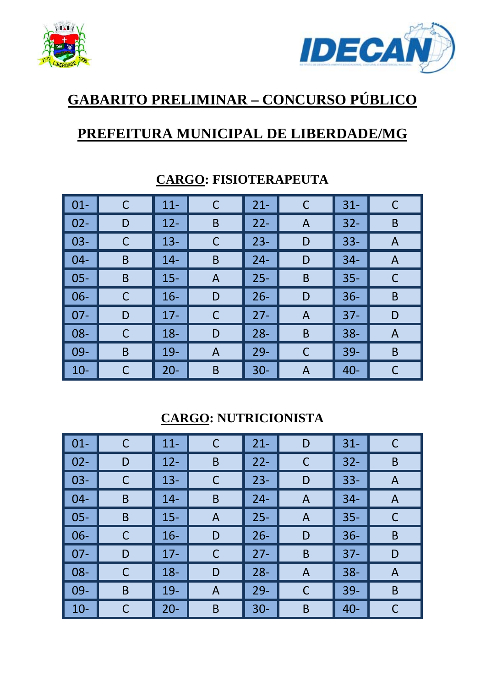



## **GABARITO PRELIMINAR – CONCURSO PÚBLICO**

### **PREFEITURA MUNICIPAL DE LIBERDADE/MG**

| $\vert$ 01-  |   | $11 -$ | $\mathsf C$    | $21 -$ | $\mathsf C$ | $31 -$ |   |
|--------------|---|--------|----------------|--------|-------------|--------|---|
| $\vert$ 02-  | D | $12 -$ | B              | $22 -$ | A           | $32 -$ | B |
| $\vert$ 03-  |   | $13 -$ | C              | $23 -$ | D           | $33 -$ | A |
| $\vert 04 -$ | B | $14 -$ | B              | $24 -$ | D           | $34 -$ | A |
| $\vert$ 05-  | B | $15 -$ | $\overline{A}$ | $25 -$ | B           | $35 -$ | C |
| $\vert$ 06-  | С | $16 -$ | D              | $26 -$ | D           | $36 -$ | B |
| $\vert$ 07-  | D | $17 -$ | C              | $27 -$ | Α           | $37 -$ | D |
| $\vert$ 08-  | С | $18 -$ | D              | $28 -$ | B           | $38 -$ | A |
| $\vert$ 09-  | B | $19-$  | A              | $29 -$ | C           | $39 -$ | B |
| $\vert$ 10-  |   | $20 -$ | B              | $30 -$ | Α           | $40 -$ |   |

#### **CARGO: FISIOTERAPEUTA**

#### **CARGO: NUTRICIONISTA**

| $\vert$ 01- | $\mathsf{C}$ | $11 -$ | C | $21 -$ | D | $31 -$ | C |
|-------------|--------------|--------|---|--------|---|--------|---|
| $02 -$      | D            | $12 -$ | B | $22 -$ | C | $32 -$ | B |
| $03 -$      | $\mathsf C$  | $13 -$ | C | $23 -$ | D | $33 -$ | A |
| $04 -$      | B            | $14-$  | B | $24 -$ | A | $34 -$ | A |
| $05 -$      | B            | $15 -$ | A | $25 -$ | A | $35 -$ | C |
| $06 -$      | C            | $16 -$ | D | $26 -$ | D | $36 -$ | B |
| $07 -$      | D            | $17 -$ | С | $27 -$ | B | $37 -$ | D |
| $08 -$      | $\mathsf C$  | $18 -$ | D | $28 -$ | A | $38 -$ | A |
| $09 -$      | B            | $19-$  | A | $29 -$ | C | $39 -$ | B |
| $10-$       | C            | $20 -$ | B | $30 -$ | B | $40 -$ | C |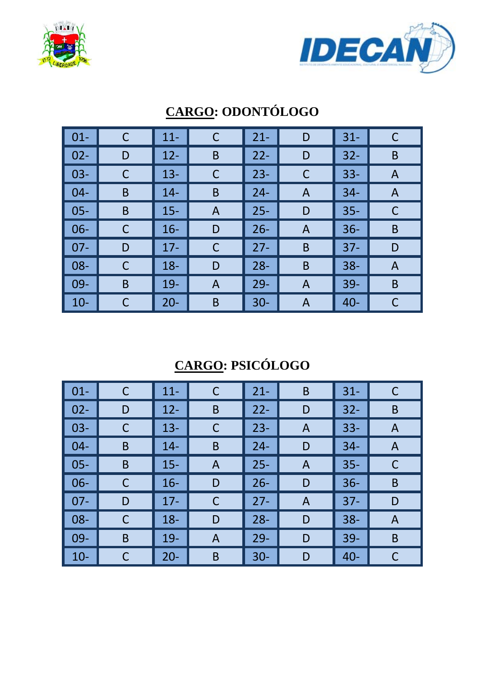



| $\vert$ 01- | C | $11 -$ | $\mathsf C$ | $21 -$ | D | $31 -$ | C |
|-------------|---|--------|-------------|--------|---|--------|---|
| $\vert$ 02- | D | $12 -$ | B           | $22 -$ | D | $32 -$ | B |
| $\vert$ 03- |   | $13 -$ | C           | $23 -$ | C | $33 -$ | A |
| $\vert$ 04- | B | $14 -$ | B           | $24 -$ | Α | $34 -$ | A |
| $\vert$ 05- | B | $15 -$ | A           | $25 -$ | D | $35 -$ | C |
| $\vert$ 06- |   | $16 -$ | D           | $26 -$ | A | $36 -$ | B |
| $\vert$ 07- | D | $17 -$ | С           | $27 -$ | B | $37 -$ | D |
| $\vert$ 08- | С | $18 -$ | D           | $28 -$ | B | $38 -$ | A |
| $\vert$ 09- | B | $19-$  | A           | $29 -$ | A | $39 -$ | B |
| $\vert$ 10- |   | $20 -$ | B           | $30 -$ | Α | $40 -$ |   |

# **CARGO: ODONTÓLOGO**

## **CARGO: PSICÓLOGO**

| $\vert$ 01- | $\mathsf{C}$ | $11 -$ | C | $21 -$ | B            | $31 -$ |   |
|-------------|--------------|--------|---|--------|--------------|--------|---|
| $02 -$      | D            | $12 -$ | B | $22 -$ | D            | $32 -$ | B |
| $03 -$      | C            | $13 -$ | C | $23 -$ | A            | $33 -$ | A |
| $04 -$      | B            | $14 -$ | B | $24 -$ | D            | $34 -$ | A |
| $05 -$      | B            | $15 -$ | A | $25 -$ | $\mathsf{A}$ | $35 -$ | C |
| $06 -$      | C            | $16 -$ | D | $26 -$ | D            | $36 -$ | B |
| $07 -$      | D            | $17 -$ | C | $27 -$ | A            | $37 -$ | D |
| $08 -$      | C            | $18 -$ | D | $28 -$ | D            | $38 -$ | A |
| $09 -$      | B            | $19-$  | A | $29 -$ | D            | 39-    | B |
| $10 -$      | C            | $20 -$ | B | $30 -$ | D            | $40 -$ |   |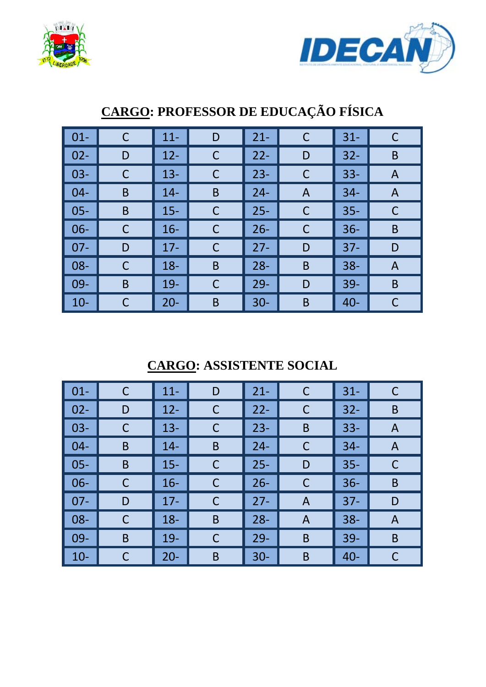



| $\boxed{01}$ | C | $11 -$ | D           | $21 -$ | C            | $31 -$ | C |
|--------------|---|--------|-------------|--------|--------------|--------|---|
| $\vert$ 02-  | D | $12 -$ | C           | $22 -$ | D            | $32 -$ | B |
| $\vert$ 03-  | C | $13 -$ | $\mathsf C$ | $23 -$ | C            | $33 -$ | A |
| $\vert$ 04-  | B | $14 -$ | B           | $24 -$ | A            | $34 -$ | A |
| $\vert$ 05-  | B | $15 -$ | $\mathsf C$ | $25 -$ | C            | $35 -$ | C |
| $\vert$ 06-  | С | $16 -$ | $\mathsf C$ | $26 -$ | $\mathsf{C}$ | $36 -$ | B |
| $\vert$ 07-  | D | $17 -$ | C           | $27 -$ | D            | $37 -$ | D |
| $\vert$ 08-  | С | $18 -$ | $\mathsf B$ | $28 -$ | B            | $38 -$ | A |
| $\vert$ 09-  | B | $19-$  | $\mathsf C$ | $29-$  | D            | $39 -$ | B |
| $\vert$ 10-  |   | $20 -$ | B           | $30 -$ | B            | $40 -$ | C |

## **CARGO: PROFESSOR DE EDUCAÇÃO FÍSICA**

### **CARGO: ASSISTENTE SOCIAL**

| $\vert$ 01- | C | $11 -$ | D | $21 -$ | $\mathsf{C}$ | $31 -$ | C |
|-------------|---|--------|---|--------|--------------|--------|---|
| $02 -$      | D | $12 -$ | C | $22 -$ | $\mathsf C$  | $32 -$ | B |
| $03 -$      | C | $13 -$ | C | $23 -$ | B            | $33 -$ | A |
| $04 -$      | B | $14 -$ | B | $24 -$ | C            | $34-$  | A |
| $05 -$      | B | $15 -$ | C | $25 -$ | D            | $35 -$ | C |
| $06 -$      | C | $16 -$ | С | $26 -$ | $\mathsf{C}$ | $36 -$ | B |
| $07 -$      | D | $17 -$ | С | $27 -$ | A            | $37 -$ | D |
| $08 -$      | C | $18 -$ | B | $28 -$ | A            | $38 -$ | A |
| $09 -$      | B | $19 -$ | С | $29 -$ | B            | $39 -$ | B |
| $10 -$      | C | $20 -$ | B | $30 -$ | B            | $40 -$ | С |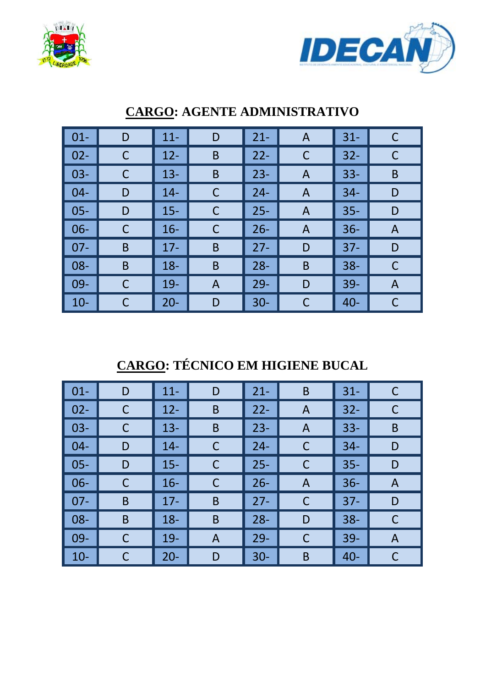



| $\vert$ 01-        | D | $11 -$ | D | $21 -$ | A | $31 -$ | C |
|--------------------|---|--------|---|--------|---|--------|---|
| $\vert$ 02-        | С | $12 -$ | B | $22 -$ | C | $32 -$ | C |
| $\vert$ 03-        |   | $13 -$ | B | $23 -$ | A | $33 -$ | B |
| $\blacksquare$ 04- | D | $14 -$ | С | $24 -$ | A | $34 -$ | D |
| $\vert$ 05-        | D | $15 -$ | C | $25 -$ | A | $35 -$ | D |
| $\vert$ 06-        |   | $16 -$ | C | $26 -$ | A | $36 -$ | A |
| $\vert$ 07-        | B | $17 -$ | B | $27 -$ | D | $37 -$ | D |
| $\vert$ 08-        | B | $18 -$ | B | $28 -$ | B | $38 -$ | C |
| $\vert$ 09-        | C | $19 -$ | A | $29 -$ | D | $39-$  | A |
| $\vert$ 10-        |   | $20 -$ | D | $30 -$ | C | $40 -$ | C |

#### **CARGO: AGENTE ADMINISTRATIVO**

## **CARGO: TÉCNICO EM HIGIENE BUCAL**

| $\vert$ 01- | D | $11 -$ | D            | $21 -$ | B | $31 -$ | C |
|-------------|---|--------|--------------|--------|---|--------|---|
| $02 -$      | C | $12 -$ | B            | $22 -$ | A | $32 -$ | С |
| $03 -$      | C | $13 -$ | B            | $23 -$ | A | $33 -$ | B |
| $04 -$      | D | $14 -$ | C            | $24 -$ | C | $34 -$ | D |
| $05 -$      | D | $15 -$ | C            | $25 -$ | C | $35 -$ | D |
| $06 -$      | C | $16 -$ | C            | $26 -$ | A | $36 -$ | A |
| $07 -$      | B | $17 -$ | $\mathsf B$  | $27 -$ | C | $37 -$ | D |
| $08 -$      | B | $18 -$ | B            | $28 -$ | D | $38 -$ | C |
| $09 -$      | C | $19 -$ | $\mathsf{A}$ | $29 -$ | C | $39 -$ | A |
| $10 -$      | C | $20 -$ | D            | $30 -$ | B | $40 -$ | C |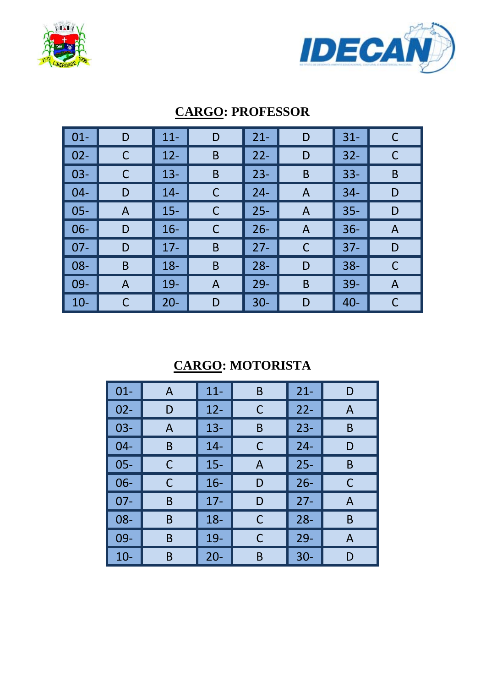



| $\vert$ 01-     | D | $11 -$ | D | $21 -$ | D | $31 -$ | С |
|-----------------|---|--------|---|--------|---|--------|---|
| $\vert$ 02-     |   | $12 -$ | B | $22 -$ | D | $32 -$ |   |
| $\vert$ 03-     |   | $13 -$ | B | $23 -$ | B | $33 -$ | B |
| $\vert$ 04-     | D | $14 -$ | C | $24 -$ | A | $34 -$ | D |
| $\vert$ 05-     | A | $15 -$ | C | $25 -$ | A | $35 -$ | D |
| $\vert$ 06-     | D | $16 -$ | C | $26 -$ | A | $36 -$ | A |
| $\parallel$ 07- | D | $17 -$ | B | $27 -$ | C | $37 -$ | D |
| $\vert$ 08-     | B | $18 -$ | B | $28 -$ | D | $38 -$ | С |
| $\vert$ 09-     | A | $19-$  | A | $29 -$ | B | $39 -$ | A |
| $\vert$ 10-     |   | $20 -$ | D | $30-$  | D | $40 -$ | С |

#### **CARGO: PROFESSOR**

### **CARGO: MOTORISTA**

| $01 -$ | A | $11 -$ | B | $21 -$ | D |
|--------|---|--------|---|--------|---|
| $02 -$ | D | $12 -$ | С | $22 -$ | A |
| $03 -$ | A | $13 -$ | B | $23 -$ | B |
| $04 -$ | Β | $14 -$ | С | $24 -$ | D |
| $05 -$ | С | $15 -$ | A | $25 -$ | B |
| $06 -$ | С | $16 -$ | D | $26 -$ | C |
| $07 -$ | B | $17 -$ | D | $27 -$ | A |
| $08 -$ | B | $18 -$ | С | $28 -$ | B |
| 09-    | Β | 19-    | C | $29 -$ | A |
| $10 -$ | B | $20 -$ | B | $30 -$ | D |